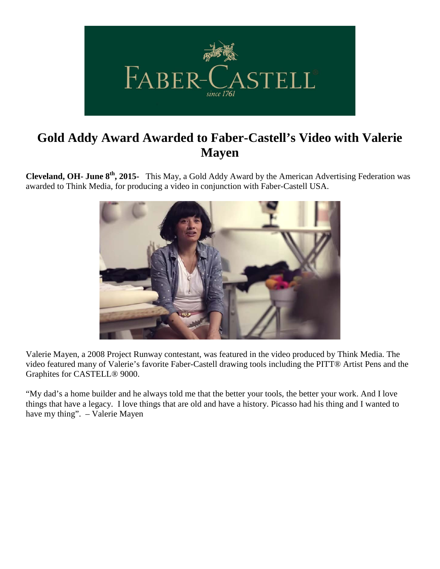

## **Gold Addy Award Awarded to Faber-Castell's Video with Valerie Mayen**

**Cleveland, OH- June 8th, 2015-** This May, a Gold Addy Award by the American Advertising Federation was awarded to Think Media, for producing a video in conjunction with Faber-Castell USA.



Valerie Mayen, a 2008 Project Runway contestant, was featured in the video produced by Think Media. The video featured many of Valerie's favorite Faber-Castell drawing tools including the PITT® Artist Pens and the Graphites for CASTELL® 9000.

"My dad's a home builder and he always told me that the better your tools, the better your work. And I love things that have a legacy. I love things that are old and have a history. Picasso had his thing and I wanted to have my thing". – Valerie Mayen